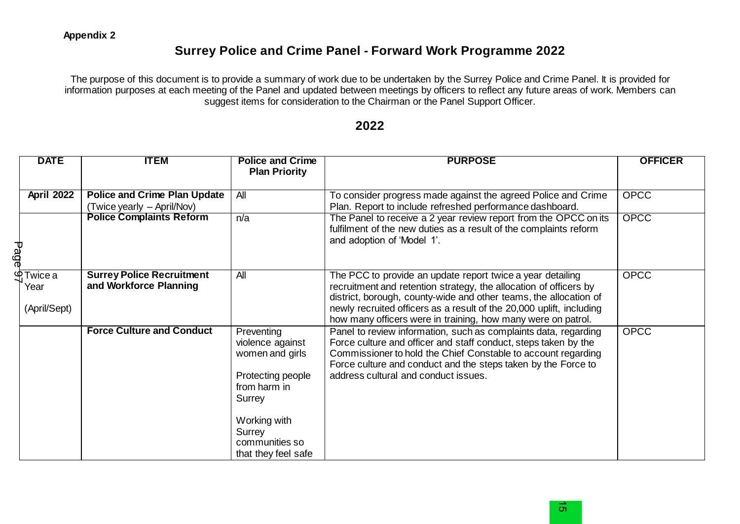## **Surrey Police and Crime Panel - Forward Work Programme 2022**

The purpose of this document is to provide a summary of work due to be undertaken by the Surrey Police and Crime Panel. It is provided for information purposes at each meeting of the Panel and updated between meetings by officers to reflect any future areas of work. Members can suggest items for consideration to the Chairman or the Panel Support Officer.

## **2022**

| <b>DATE</b>                          | <b>ITEM</b>                                                | <b>Police and Crime</b><br><b>Plan Priority</b>                                                                                                                     | <b>PURPOSE</b>                                                                                                                                                                                                                                                                                                                               | <b>OFFICER</b> |
|--------------------------------------|------------------------------------------------------------|---------------------------------------------------------------------------------------------------------------------------------------------------------------------|----------------------------------------------------------------------------------------------------------------------------------------------------------------------------------------------------------------------------------------------------------------------------------------------------------------------------------------------|----------------|
| <b>April 2022</b>                    | <b>Police and Crime Plan Update</b>                        | All                                                                                                                                                                 | To consider progress made against the agreed Police and Crime                                                                                                                                                                                                                                                                                | <b>OPCC</b>    |
|                                      | (Twice yearly – April/Nov)                                 |                                                                                                                                                                     | Plan. Report to include refreshed performance dashboard.                                                                                                                                                                                                                                                                                     |                |
| Page                                 | <b>Police Complaints Reform</b>                            | n/a                                                                                                                                                                 | The Panel to receive a 2 year review report from the OPCC on its<br>fulfilment of the new duties as a result of the complaints reform<br>and adoption of 'Model 1'.                                                                                                                                                                          | <b>OPCC</b>    |
| ൕ<br>Twice a<br>Year<br>(April/Sept) | <b>Surrey Police Recruitment</b><br>and Workforce Planning | All                                                                                                                                                                 | The PCC to provide an update report twice a year detailing<br>recruitment and retention strategy, the allocation of officers by<br>district, borough, county-wide and other teams, the allocation of<br>newly recruited officers as a result of the 20,000 uplift, including<br>how many officers were in training, how many were on patrol. | <b>OPCC</b>    |
|                                      | <b>Force Culture and Conduct</b>                           | Preventing<br>violence against<br>women and girls<br>Protecting people<br>from harm in<br>Surrey<br>Working with<br>Surrey<br>communities so<br>that they feel safe | Panel to review information, such as complaints data, regarding<br>Force culture and officer and staff conduct, steps taken by the<br>Commissioner to hold the Chief Constable to account regarding<br>Force culture and conduct and the steps taken by the Force to<br>address cultural and conduct issues.                                 | <b>OPCC</b>    |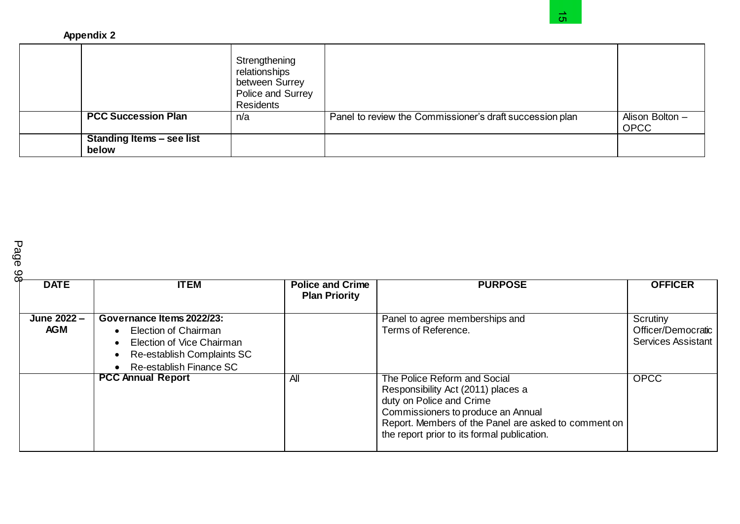|                                  | Strengthening                                                     |                                                          |                                |
|----------------------------------|-------------------------------------------------------------------|----------------------------------------------------------|--------------------------------|
|                                  | relationships<br>between Surrey<br>Police and Surrey<br>Residents |                                                          |                                |
| <b>PCC Succession Plan</b>       | n/a                                                               | Panel to review the Commissioner's draft succession plan | Alison Bolton -<br><b>OPCC</b> |
| <b>Standing Items - see list</b> |                                                                   |                                                          |                                |
|                                  |                                                                   |                                                          |                                |

| ౚఀ<br><b>DATE</b>         | <b>ITEM</b>                                                                                                                                 | <b>Police and Crime</b><br><b>Plan Priority</b> | <b>PURPOSE</b>                                                                                                                                                                                                                              | <b>OFFICER</b>                                              |
|---------------------------|---------------------------------------------------------------------------------------------------------------------------------------------|-------------------------------------------------|---------------------------------------------------------------------------------------------------------------------------------------------------------------------------------------------------------------------------------------------|-------------------------------------------------------------|
| June 2022 -<br><b>AGM</b> | Governance Items 2022/23:<br>• Election of Chairman<br>• Election of Vice Chairman<br>Re-establish Complaints SC<br>Re-establish Finance SC |                                                 | Panel to agree memberships and<br>Terms of Reference.                                                                                                                                                                                       | Scrutiny<br>Officer/Democratic<br><b>Services Assistant</b> |
|                           | <b>PCC Annual Report</b>                                                                                                                    | All                                             | The Police Reform and Social<br>Responsibility Act (2011) places a<br>duty on Police and Crime<br>Commissioners to produce an Annual<br>Report. Members of the Panel are asked to comment on<br>the report prior to its formal publication. | <b>OPCC</b>                                                 |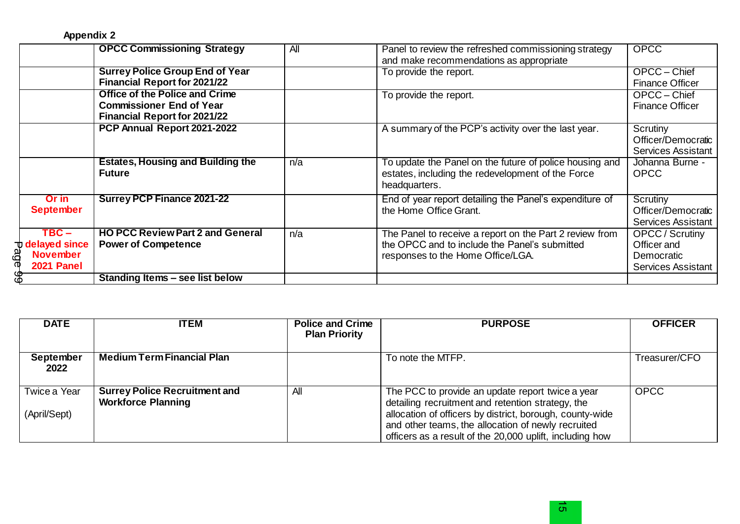**Appendix 2**

|                                                                           | <b>OPCC Commissioning Strategy</b>                                                                              | All | Panel to review the refreshed commissioning strategy<br>and make recommendations as appropriate                                               | <b>OPCC</b>                                                                      |
|---------------------------------------------------------------------------|-----------------------------------------------------------------------------------------------------------------|-----|-----------------------------------------------------------------------------------------------------------------------------------------------|----------------------------------------------------------------------------------|
|                                                                           | <b>Surrey Police Group End of Year</b><br><b>Financial Report for 2021/22</b>                                   |     | To provide the report.                                                                                                                        | OPCC - Chief<br><b>Finance Officer</b>                                           |
|                                                                           | <b>Office of the Police and Crime</b><br><b>Commissioner End of Year</b><br><b>Financial Report for 2021/22</b> |     | To provide the report.                                                                                                                        | OPCC - Chief<br><b>Finance Officer</b>                                           |
|                                                                           | PCP Annual Report 2021-2022                                                                                     |     | A summary of the PCP's activity over the last year.                                                                                           | Scrutiny<br>Officer/Democratic<br><b>Services Assistant</b>                      |
|                                                                           | <b>Estates, Housing and Building the</b><br><b>Future</b>                                                       | n/a | To update the Panel on the future of police housing and<br>estates, including the redevelopment of the Force<br>headquarters.                 | Johanna Burne -<br><b>OPCC</b>                                                   |
| Or in<br><b>September</b>                                                 | <b>Surrey PCP Finance 2021-22</b>                                                                               |     | End of year report detailing the Panel's expenditure of<br>the Home Office Grant.                                                             | Scrutiny<br>Officer/Democratic<br><b>Services Assistant</b>                      |
| $TBC -$<br><b>U</b> delayed since<br>age<br><b>November</b><br>2021 Panel | <b>HO PCC Review Part 2 and General</b><br><b>Power of Competence</b>                                           | n/a | The Panel to receive a report on the Part 2 review from<br>the OPCC and to include the Panel's submitted<br>responses to the Home Office/LGA. | <b>OPCC</b> / Scrutiny<br>Officer and<br>Democratic<br><b>Services Assistant</b> |
| 89                                                                        | Standing Items - see list below                                                                                 |     |                                                                                                                                               |                                                                                  |

| <b>DATE</b>                  | <b>ITEM</b>                                                       | <b>Police and Crime</b><br><b>Plan Priority</b> | <b>PURPOSE</b>                                                                                                                                                                                                                                                                      | <b>OFFICER</b> |
|------------------------------|-------------------------------------------------------------------|-------------------------------------------------|-------------------------------------------------------------------------------------------------------------------------------------------------------------------------------------------------------------------------------------------------------------------------------------|----------------|
| September<br>2022            | <b>Medium Term Financial Plan</b>                                 |                                                 | To note the MTFP.                                                                                                                                                                                                                                                                   | Treasurer/CFO  |
| Twice a Year<br>(April/Sept) | <b>Surrey Police Recruitment and</b><br><b>Workforce Planning</b> | All                                             | The PCC to provide an update report twice a year<br>detailing recruitment and retention strategy, the<br>allocation of officers by district, borough, county-wide<br>and other teams, the allocation of newly recruited<br>officers as a result of the 20,000 uplift, including how | <b>OPCC</b>    |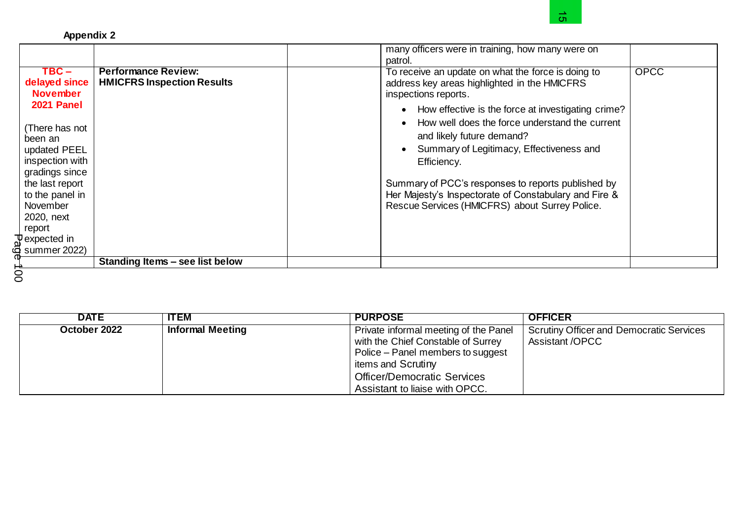|                                                                                                                                                                                                                                                                                  |                                                                 | many officers were in training, how many were on<br>patrol.                                                                                                                                                                                                                                                                                                                                                                                                                                              |             |
|----------------------------------------------------------------------------------------------------------------------------------------------------------------------------------------------------------------------------------------------------------------------------------|-----------------------------------------------------------------|----------------------------------------------------------------------------------------------------------------------------------------------------------------------------------------------------------------------------------------------------------------------------------------------------------------------------------------------------------------------------------------------------------------------------------------------------------------------------------------------------------|-------------|
| $TBC -$<br>delayed since<br><b>November</b><br>2021 Panel<br>(There has not<br>been an<br>updated PEEL<br>inspection with<br>gradings since<br>the last report<br>to the panel in<br>November<br>2020, next<br>report<br>$\frac{1}{9}$ expected in<br>$\frac{1}{9}$ summer 2022) | <b>Performance Review:</b><br><b>HMICFRS Inspection Results</b> | To receive an update on what the force is doing to<br>address key areas highlighted in the HMICFRS<br>inspections reports.<br>How effective is the force at investigating crime?<br>$\bullet$<br>How well does the force understand the current<br>and likely future demand?<br>Summary of Legitimacy, Effectiveness and<br>Efficiency.<br>Summary of PCC's responses to reports published by<br>Her Majesty's Inspectorate of Constabulary and Fire &<br>Rescue Services (HMICFRS) about Surrey Police. | <b>OPCC</b> |
|                                                                                                                                                                                                                                                                                  | Standing Items - see list below                                 |                                                                                                                                                                                                                                                                                                                                                                                                                                                                                                          |             |

| <b>DATE</b>  | <b>ITEM</b>             | <b>PURPOSE</b>                        | <b>OFFICER</b>                                  |
|--------------|-------------------------|---------------------------------------|-------------------------------------------------|
| October 2022 | <b>Informal Meeting</b> | Private informal meeting of the Panel | <b>Scrutiny Officer and Democratic Services</b> |
|              |                         | with the Chief Constable of Surrey    | <b>Assistant /OPCC</b>                          |
|              |                         | Police – Panel members to suggest     |                                                 |
|              |                         | items and Scrutiny                    |                                                 |
|              |                         | <b>Officer/Democratic Services</b>    |                                                 |
|              |                         | Assistant to liaise with OPCC.        |                                                 |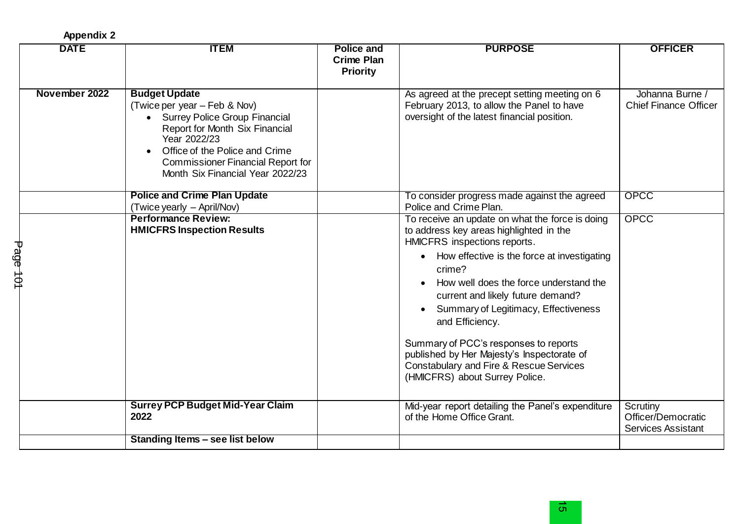**Appendix 2**

|          | <b>DATE</b>   | <b>ITEM</b>                                                                                                                                                                                                                                                              | <b>Police and</b><br><b>Crime Plan</b><br><b>Priority</b> | <b>PURPOSE</b>                                                                                                                                                                                                                                                                                                                                                                                                                                                                                               | <b>OFFICER</b>                                              |
|----------|---------------|--------------------------------------------------------------------------------------------------------------------------------------------------------------------------------------------------------------------------------------------------------------------------|-----------------------------------------------------------|--------------------------------------------------------------------------------------------------------------------------------------------------------------------------------------------------------------------------------------------------------------------------------------------------------------------------------------------------------------------------------------------------------------------------------------------------------------------------------------------------------------|-------------------------------------------------------------|
|          | November 2022 | <b>Budget Update</b><br>(Twice per year – Feb & Nov)<br>• Surrey Police Group Financial<br>Report for Month Six Financial<br>Year 2022/23<br>Office of the Police and Crime<br>$\bullet$<br><b>Commissioner Financial Report for</b><br>Month Six Financial Year 2022/23 |                                                           | As agreed at the precept setting meeting on 6<br>February 2013, to allow the Panel to have<br>oversight of the latest financial position.                                                                                                                                                                                                                                                                                                                                                                    | Johanna Burne /<br><b>Chief Finance Officer</b>             |
|          |               | <b>Police and Crime Plan Update</b><br>(Twice yearly – April/Nov)                                                                                                                                                                                                        |                                                           | To consider progress made against the agreed<br>Police and Crime Plan.                                                                                                                                                                                                                                                                                                                                                                                                                                       | <b>OPCC</b>                                                 |
| Page 101 |               | <b>Performance Review:</b><br><b>HMICFRS Inspection Results</b>                                                                                                                                                                                                          |                                                           | To receive an update on what the force is doing<br>to address key areas highlighted in the<br>HMICFRS inspections reports.<br>How effective is the force at investigating<br>crime?<br>How well does the force understand the<br>current and likely future demand?<br>Summary of Legitimacy, Effectiveness<br>and Efficiency.<br>Summary of PCC's responses to reports<br>published by Her Majesty's Inspectorate of<br><b>Constabulary and Fire &amp; Rescue Services</b><br>(HMICFRS) about Surrey Police. | <b>OPCC</b>                                                 |
|          |               | <b>Surrey PCP Budget Mid-Year Claim</b><br>2022                                                                                                                                                                                                                          |                                                           | Mid-year report detailing the Panel's expenditure<br>of the Home Office Grant.                                                                                                                                                                                                                                                                                                                                                                                                                               | Scrutiny<br>Officer/Democratic<br><b>Services Assistant</b> |
|          |               | Standing Items - see list below                                                                                                                                                                                                                                          |                                                           |                                                                                                                                                                                                                                                                                                                                                                                                                                                                                                              |                                                             |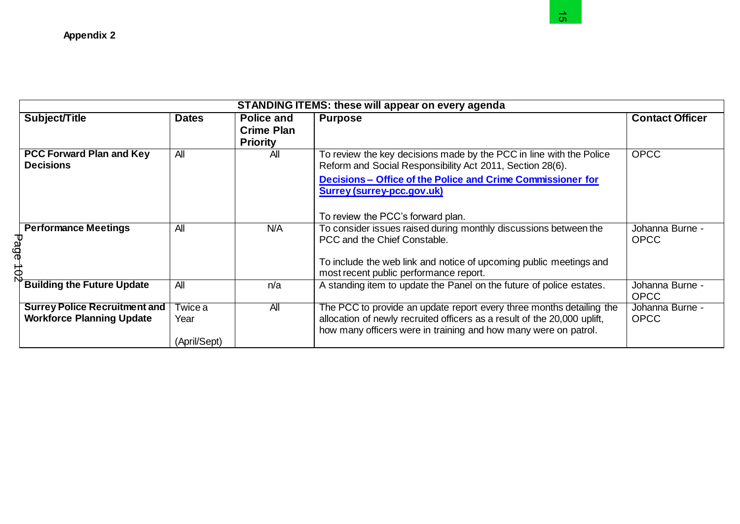| <b>Appendix 2</b>                                                        |                                 |                                                    | ຕ.                                                                                                                                                                                                                                                                        |                                |
|--------------------------------------------------------------------------|---------------------------------|----------------------------------------------------|---------------------------------------------------------------------------------------------------------------------------------------------------------------------------------------------------------------------------------------------------------------------------|--------------------------------|
|                                                                          |                                 |                                                    | <b>STANDING ITEMS: these will appear on every agenda</b>                                                                                                                                                                                                                  |                                |
| Subject/Title                                                            | <b>Dates</b>                    | Police and<br><b>Crime Plan</b><br><b>Priority</b> | <b>Purpose</b>                                                                                                                                                                                                                                                            | <b>Contact Officer</b>         |
| <b>PCC Forward Plan and Key</b><br><b>Decisions</b>                      | All                             | All                                                | To review the key decisions made by the PCC in line with the Police<br>Reform and Social Responsibility Act 2011, Section 28(6).<br>Decisions - Office of the Police and Crime Commissioner for<br><b>Surrey (surrey-pcc.gov.uk)</b><br>To review the PCC's forward plan. | <b>OPCC</b>                    |
| <b>Performance Meetings</b><br>Page 102                                  | All                             | N/A                                                | To consider issues raised during monthly discussions between the<br>PCC and the Chief Constable.<br>To include the web link and notice of upcoming public meetings and<br>most recent public performance report.                                                          | Johanna Burne -<br><b>OPCC</b> |
| <b>Building the Future Update</b>                                        | All                             | n/a                                                | A standing item to update the Panel on the future of police estates.                                                                                                                                                                                                      | Johanna Burne -<br><b>OPCC</b> |
| <b>Surrey Police Recruitment and</b><br><b>Workforce Planning Update</b> | Twice a<br>Year<br>(April/Sept) | All                                                | The PCC to provide an update report every three months detailing the<br>allocation of newly recruited officers as a result of the 20,000 uplift,<br>how many officers were in training and how many were on patrol.                                                       | Johanna Burne -<br><b>OPCC</b> |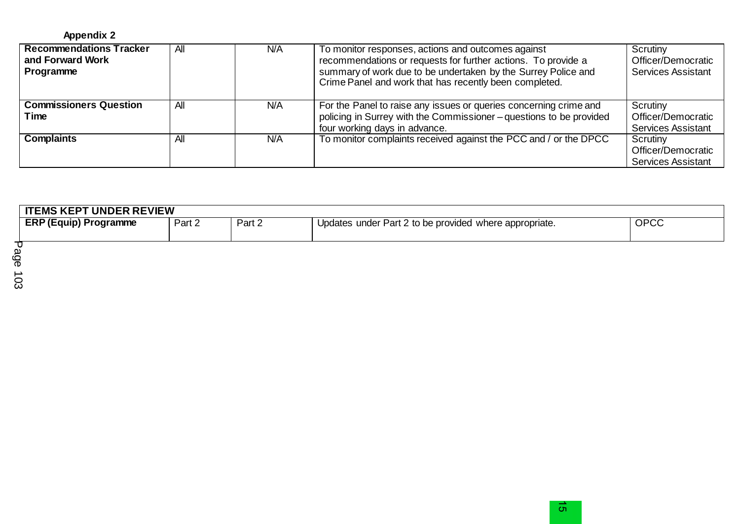| <b>Appendix 2</b> |  |
|-------------------|--|
|-------------------|--|

| <b>Recommendations Tracker</b><br>and Forward Work<br>Programme | All | N/A        | To monitor responses, actions and outcomes against<br>recommendations or requests for further actions. To provide a<br>summary of work due to be undertaken by the Surrey Police and<br>Crime Panel and work that has recently been completed. | Scrutiny<br>Officer/Democratic<br><b>Services Assistant</b> |
|-----------------------------------------------------------------|-----|------------|------------------------------------------------------------------------------------------------------------------------------------------------------------------------------------------------------------------------------------------------|-------------------------------------------------------------|
| <b>Commissioners Question</b><br>Time                           | All | N/A        | For the Panel to raise any issues or queries concerning crime and<br>policing in Surrey with the Commissioner-questions to be provided<br>four working days in advance.                                                                        | Scrutiny<br>Officer/Democratic<br><b>Services Assistant</b> |
| <b>Complaints</b>                                               | All | <b>N/A</b> | To monitor complaints received against the PCC and / or the DPCC                                                                                                                                                                               | Scrutiny<br>Officer/Democratic<br><b>Services Assistant</b> |

| <b>TEMS KEPT UNDER REVIEW</b> |        |        |                                                        |      |  |  |
|-------------------------------|--------|--------|--------------------------------------------------------|------|--|--|
| <b>ERP (Equip) Programme</b>  | Part 2 | Part 2 | Updates under Part 2 to be provided where appropriate. | OPCC |  |  |
|                               |        |        |                                                        |      |  |  |